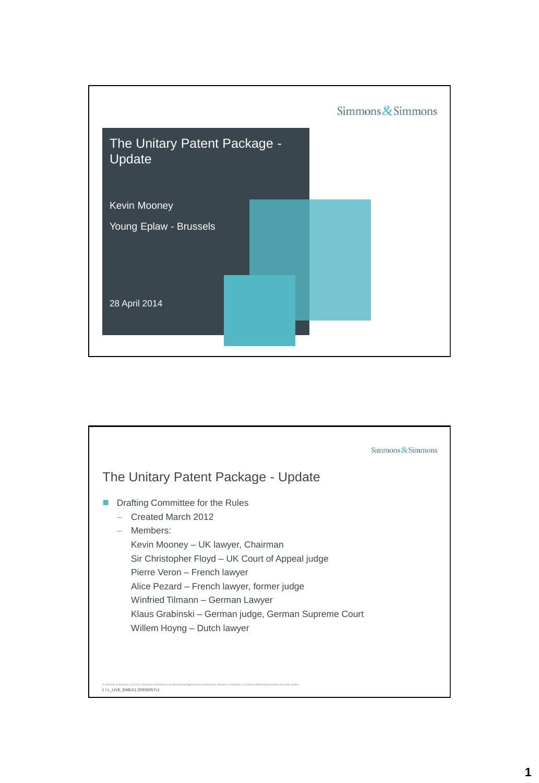

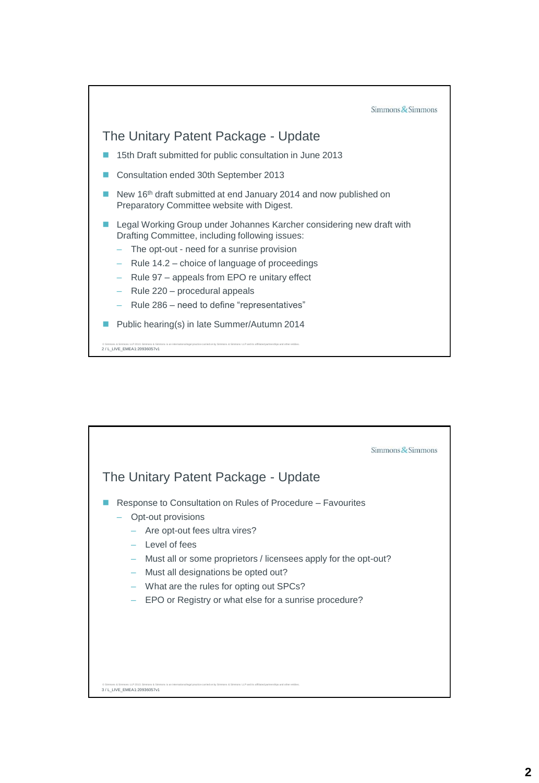

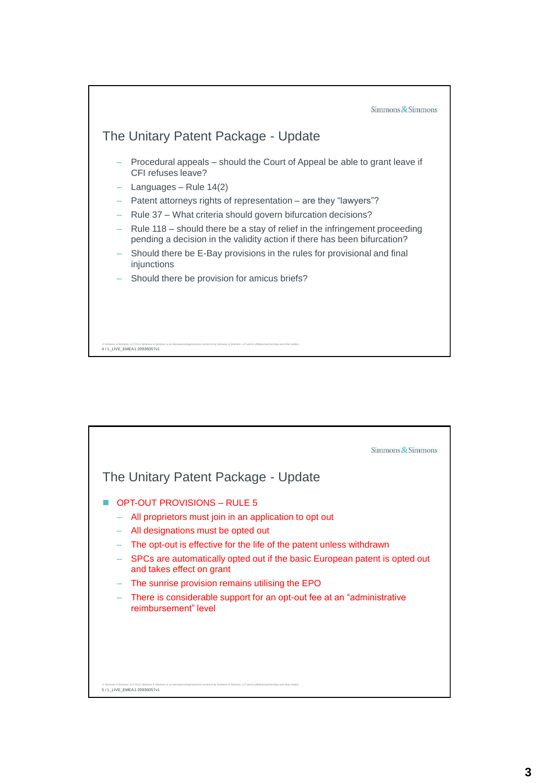

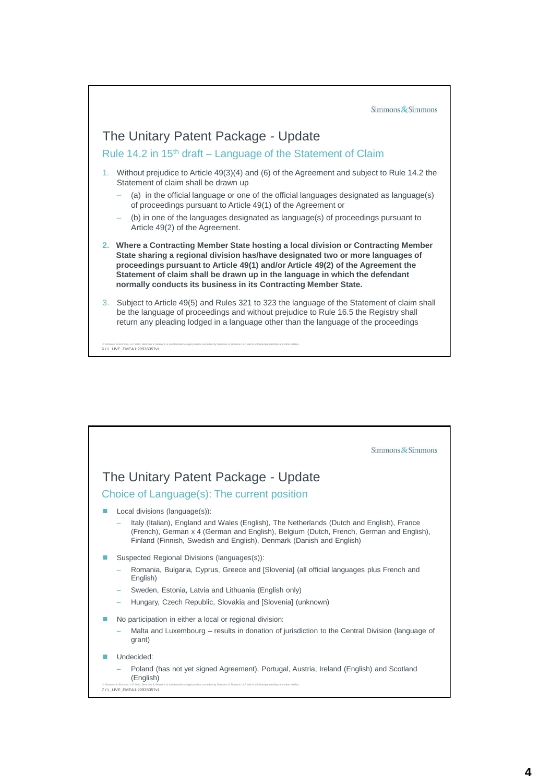

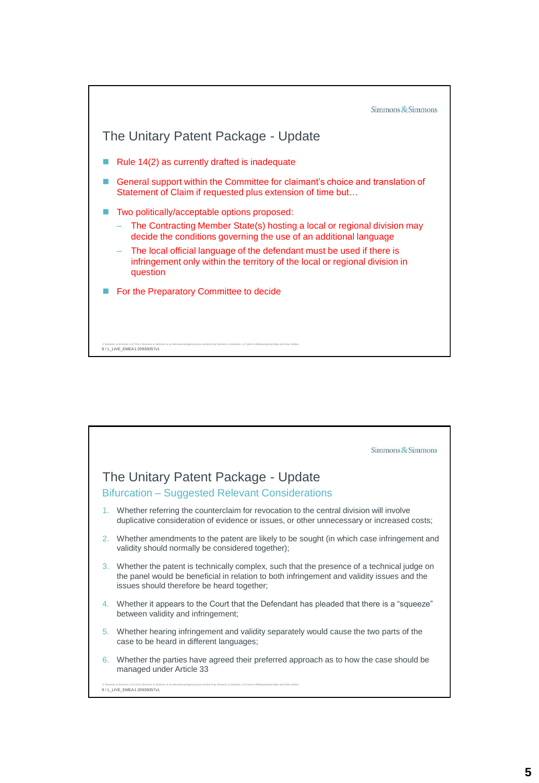

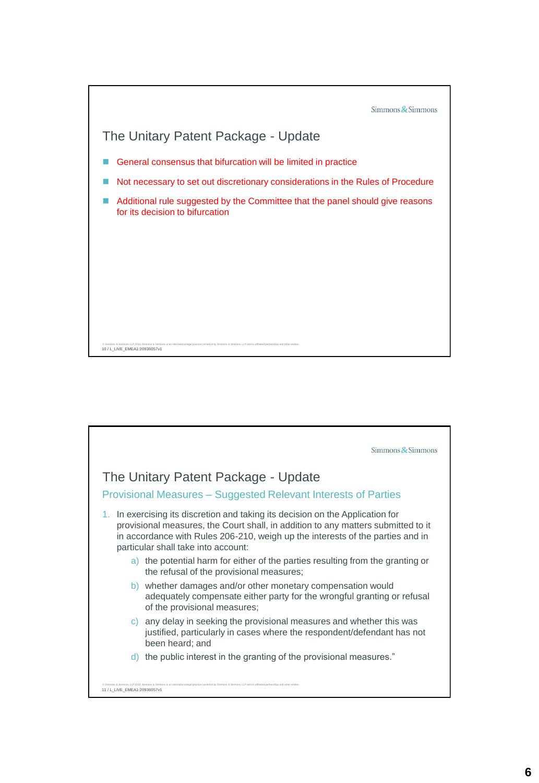

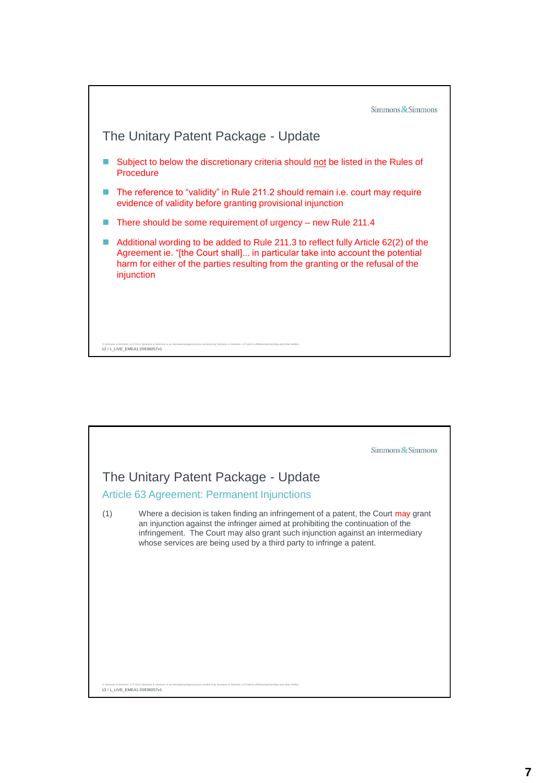

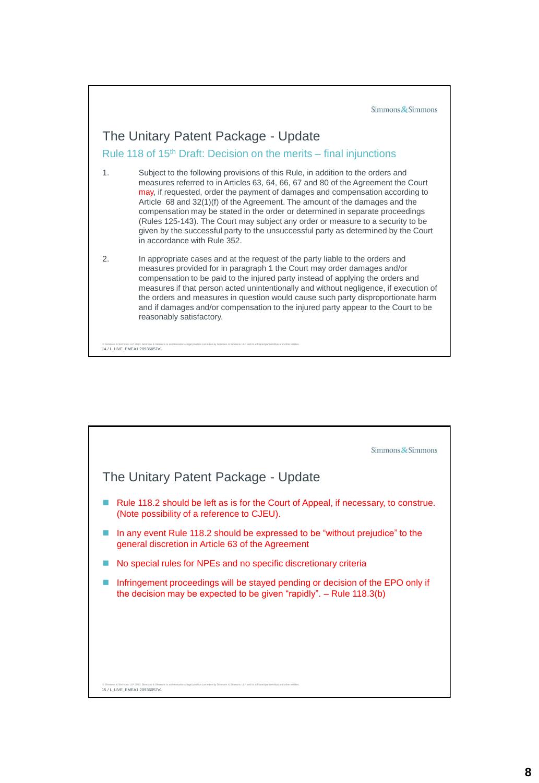Simmons & Simmons

## The Unitary Patent Package - Update

Rule 118 of 15<sup>th</sup> Draft: Decision on the merits – final injunctions

1. Subject to the following provisions of this Rule, in addition to the orders and measures referred to in Articles 63, 64, 66, 67 and 80 of the Agreement the Court may, if requested, order the payment of damages and compensation according to Article 68 and 32(1)(f) of the Agreement. The amount of the damages and the compensation may be stated in the order or determined in separate proceedings (Rules 125-143). The Court may subject any order or measure to a security to be given by the successful party to the unsuccessful party as determined by the Court in accordance with Rule 352.

2. In appropriate cases and at the request of the party liable to the orders and measures provided for in paragraph 1 the Court may order damages and/or compensation to be paid to the injured party instead of applying the orders and measures if that person acted unintentionally and without negligence, if execution of the orders and measures in question would cause such party disproportionate harm and if damages and/or compensation to the injured party appear to the Court to be reasonably satisfactory.

© Simmons & Simmons LLP 2013. Simmons & Simmons is an international legal practice canfed on by Simmons & Simmons LLP and its affiliated partnerships and other entities.<br>14 / L\_LIVE\_EMEA1:20936057v1

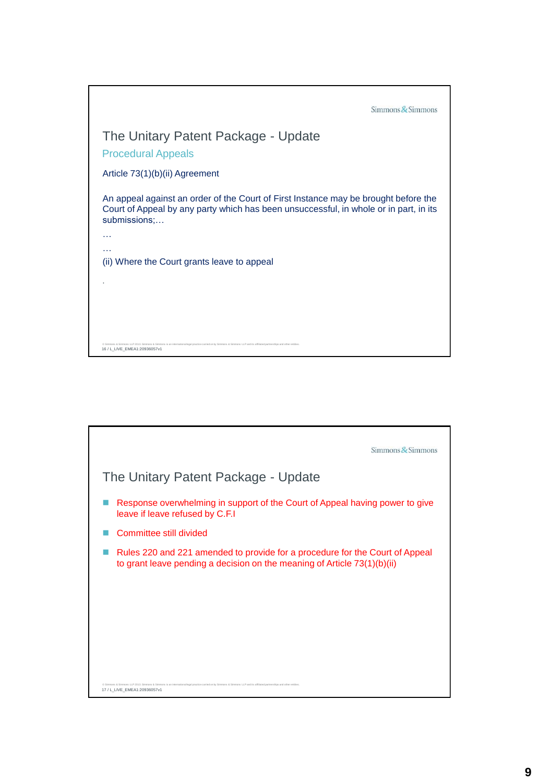| $Simmons$ Simmons                                                                                                                                                                                         |
|-----------------------------------------------------------------------------------------------------------------------------------------------------------------------------------------------------------|
| The Unitary Patent Package - Update                                                                                                                                                                       |
| <b>Procedural Appeals</b>                                                                                                                                                                                 |
| Article 73(1)(b)(ii) Agreement                                                                                                                                                                            |
| An appeal against an order of the Court of First Instance may be brought before the<br>Court of Appeal by any party which has been unsuccessful, in whole or in part, in its<br>submissions:              |
| $\cdots$                                                                                                                                                                                                  |
| $\cdots$<br>(ii) Where the Court grants leave to appeal                                                                                                                                                   |
|                                                                                                                                                                                                           |
|                                                                                                                                                                                                           |
|                                                                                                                                                                                                           |
| C Simmons & Simmons LLP 2013. Simmons & Simmons is an international legal practice carried on by Simmons & Simmons LLP and its affiliated partnerships and other entities<br>16 / L LIVE EMEA1:20936057v1 |

| $Simmons$ & Simmons                                                                                                                                                                                |
|----------------------------------------------------------------------------------------------------------------------------------------------------------------------------------------------------|
| The Unitary Patent Package - Update                                                                                                                                                                |
| Response overwhelming in support of the Court of Appeal having power to give<br>leave if leave refused by C.F.I                                                                                    |
| Committee still divided                                                                                                                                                                            |
| Rules 220 and 221 amended to provide for a procedure for the Court of Appeal<br>to grant leave pending a decision on the meaning of Article 73(1)(b)(ii)                                           |
|                                                                                                                                                                                                    |
|                                                                                                                                                                                                    |
|                                                                                                                                                                                                    |
|                                                                                                                                                                                                    |
| is & Simmons LLP 2013. Simmons & Simmons is an international legal practice carried on by Simmons & Simmons LLP and its affiliated partnerships and other entities<br>17 / L_LIVE_EMEA1:20936057v1 |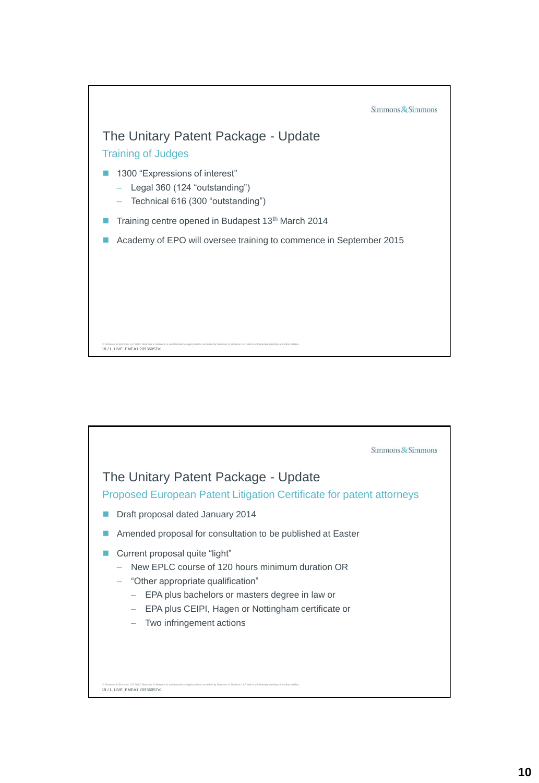

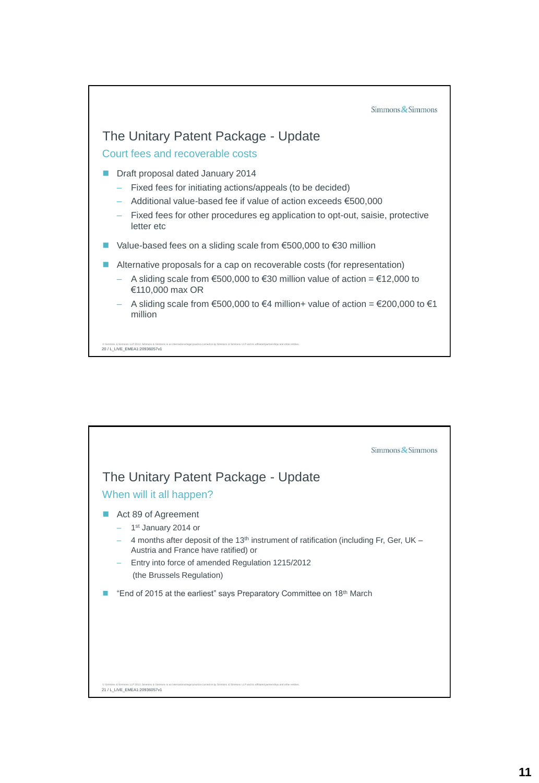